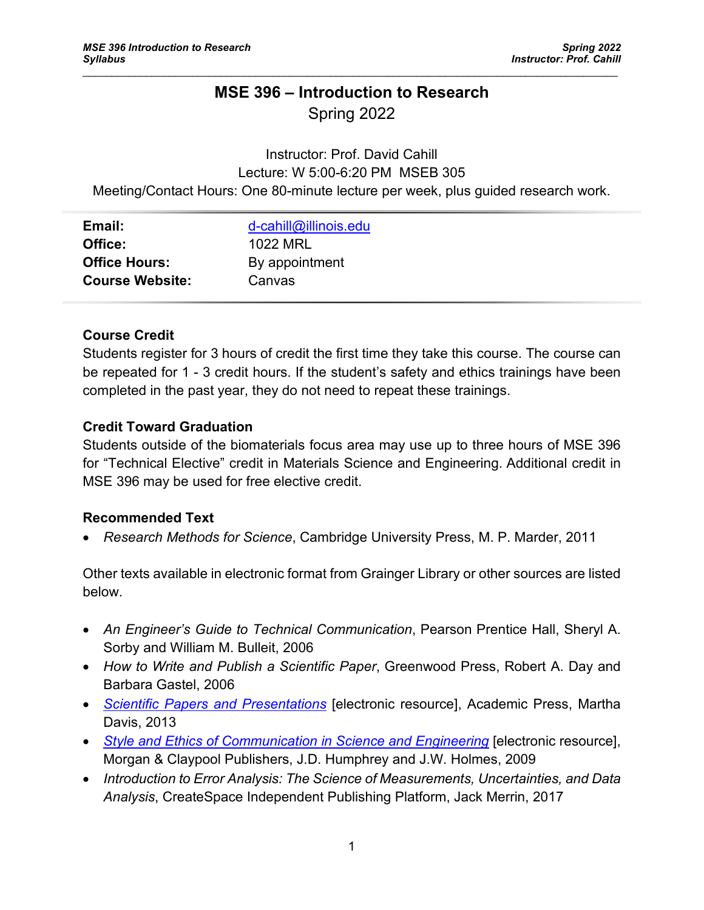# **MSE 396 – Introduction to Research** Spring 2022

 $\mathcal{L}_\mathcal{L} = \{ \mathcal{L}_\mathcal{L} = \{ \mathcal{L}_\mathcal{L} = \{ \mathcal{L}_\mathcal{L} = \{ \mathcal{L}_\mathcal{L} = \{ \mathcal{L}_\mathcal{L} = \{ \mathcal{L}_\mathcal{L} = \{ \mathcal{L}_\mathcal{L} = \{ \mathcal{L}_\mathcal{L} = \{ \mathcal{L}_\mathcal{L} = \{ \mathcal{L}_\mathcal{L} = \{ \mathcal{L}_\mathcal{L} = \{ \mathcal{L}_\mathcal{L} = \{ \mathcal{L}_\mathcal{L} = \{ \mathcal{L}_\mathcal{$ 

# Instructor: Prof. David Cahill Lecture: W 5:00-6:20 PM MSEB 305 Meeting/Contact Hours: One 80-minute lecture per week, plus guided research work.

| Email:                 | d-cahill@illinois.edu |
|------------------------|-----------------------|
| Office:                | 1022 MRL              |
| <b>Office Hours:</b>   | By appointment        |
| <b>Course Website:</b> | Canvas                |

# **Course Credit**

Students register for 3 hours of credit the first time they take this course. The course can be repeated for 1 - 3 credit hours. If the student's safety and ethics trainings have been completed in the past year, they do not need to repeat these trainings.

### **Credit Toward Graduation**

Students outside of the biomaterials focus area may use up to three hours of MSE 396 for "Technical Elective" credit in Materials Science and Engineering. Additional credit in MSE 396 may be used for free elective credit.

### **Recommended Text**

• *Research Methods for Science*, Cambridge University Press, M. P. Marder, 2011

Other texts available in electronic format from Grainger Library or other sources are listed below.

- *An Engineer's Guide to Technical Communication*, Pearson Prentice Hall, Sheryl A. Sorby and William M. Bulleit, 2006
- *How to Write and Publish a Scientific Paper*, Greenwood Press, Robert A. Day and Barbara Gastel, 2006
- *[Scientific Papers and Presentations](http://www.sciencedirect.com.proxy2.library.illinois.edu/science/book/9780123847270)* [electronic resource], Academic Press, Martha Davis, 2013
- *[Style and Ethics of Communication in Science and Engineering](http://www.morganclaypool.com/doi/abs/10.2200/S00128ED1V01Y200809ENG009)* [electronic resource], Morgan & Claypool Publishers, J.D. Humphrey and J.W. Holmes, 2009
- *Introduction to Error Analysis: The Science of Measurements, Uncertainties, and Data Analysis*, CreateSpace Independent Publishing Platform, Jack Merrin, 2017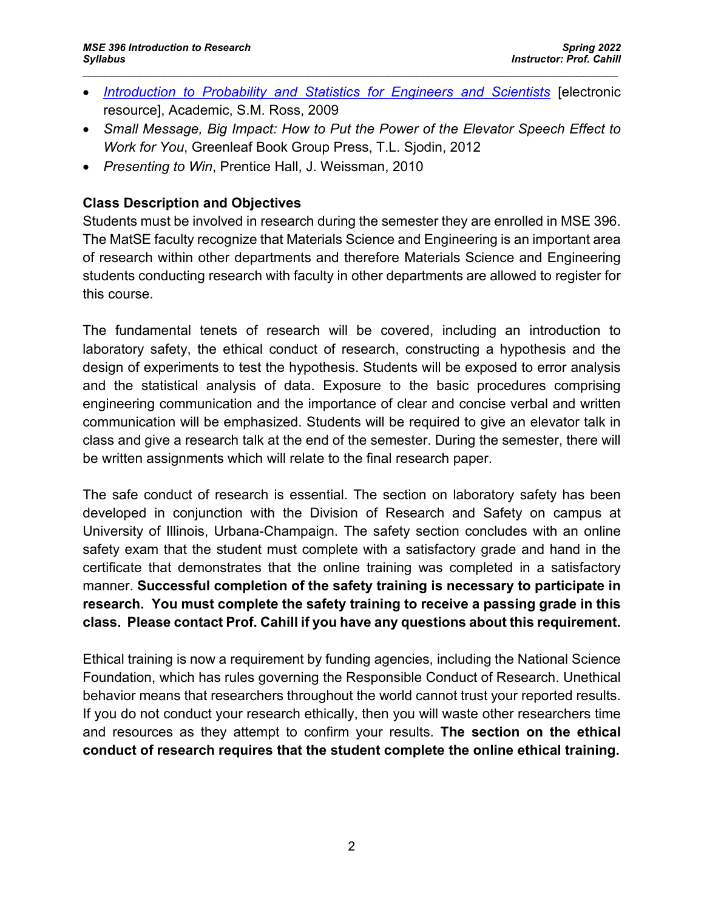• *[Introduction to Probability and Statistics for Engineers and Scientists](http://www.sciencedirect.com.proxy2.library.illinois.edu/science/book/9780123704832)* [electronic resource], Academic, S.M. Ross, 2009

 $\mathcal{L}_\mathcal{L} = \{ \mathcal{L}_\mathcal{L} = \{ \mathcal{L}_\mathcal{L} = \{ \mathcal{L}_\mathcal{L} = \{ \mathcal{L}_\mathcal{L} = \{ \mathcal{L}_\mathcal{L} = \{ \mathcal{L}_\mathcal{L} = \{ \mathcal{L}_\mathcal{L} = \{ \mathcal{L}_\mathcal{L} = \{ \mathcal{L}_\mathcal{L} = \{ \mathcal{L}_\mathcal{L} = \{ \mathcal{L}_\mathcal{L} = \{ \mathcal{L}_\mathcal{L} = \{ \mathcal{L}_\mathcal{L} = \{ \mathcal{L}_\mathcal{$ 

- *Small Message, Big Impact: How to Put the Power of the Elevator Speech Effect to Work for You*, Greenleaf Book Group Press, T.L. Sjodin, 2012
- *Presenting to Win*, Prentice Hall, J. Weissman, 2010

## **Class Description and Objectives**

Students must be involved in research during the semester they are enrolled in MSE 396. The MatSE faculty recognize that Materials Science and Engineering is an important area of research within other departments and therefore Materials Science and Engineering students conducting research with faculty in other departments are allowed to register for this course.

The fundamental tenets of research will be covered, including an introduction to laboratory safety, the ethical conduct of research, constructing a hypothesis and the design of experiments to test the hypothesis. Students will be exposed to error analysis and the statistical analysis of data. Exposure to the basic procedures comprising engineering communication and the importance of clear and concise verbal and written communication will be emphasized. Students will be required to give an elevator talk in class and give a research talk at the end of the semester. During the semester, there will be written assignments which will relate to the final research paper.

The safe conduct of research is essential. The section on laboratory safety has been developed in conjunction with the Division of Research and Safety on campus at University of Illinois, Urbana-Champaign. The safety section concludes with an online safety exam that the student must complete with a satisfactory grade and hand in the certificate that demonstrates that the online training was completed in a satisfactory manner. **Successful completion of the safety training is necessary to participate in research. You must complete the safety training to receive a passing grade in this class. Please contact Prof. Cahill if you have any questions about this requirement.**

Ethical training is now a requirement by funding agencies, including the National Science Foundation, which has rules governing the Responsible Conduct of Research. Unethical behavior means that researchers throughout the world cannot trust your reported results. If you do not conduct your research ethically, then you will waste other researchers time and resources as they attempt to confirm your results. **The section on the ethical conduct of research requires that the student complete the online ethical training.**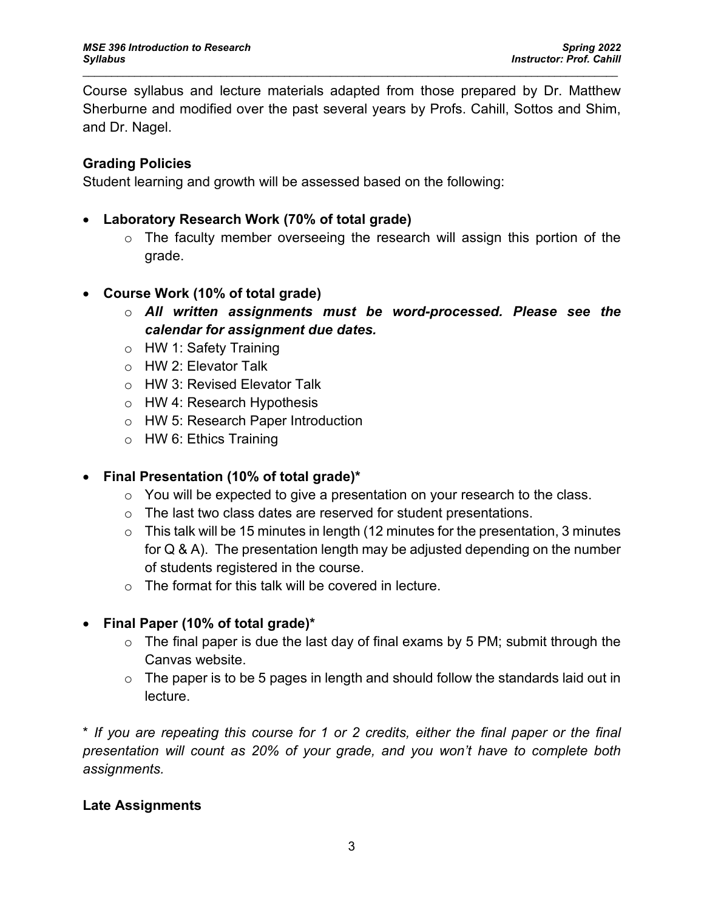Course syllabus and lecture materials adapted from those prepared by Dr. Matthew Sherburne and modified over the past several years by Profs. Cahill, Sottos and Shim, and Dr. Nagel.

 $\mathcal{L}_\mathcal{L} = \{ \mathcal{L}_\mathcal{L} = \{ \mathcal{L}_\mathcal{L} = \{ \mathcal{L}_\mathcal{L} = \{ \mathcal{L}_\mathcal{L} = \{ \mathcal{L}_\mathcal{L} = \{ \mathcal{L}_\mathcal{L} = \{ \mathcal{L}_\mathcal{L} = \{ \mathcal{L}_\mathcal{L} = \{ \mathcal{L}_\mathcal{L} = \{ \mathcal{L}_\mathcal{L} = \{ \mathcal{L}_\mathcal{L} = \{ \mathcal{L}_\mathcal{L} = \{ \mathcal{L}_\mathcal{L} = \{ \mathcal{L}_\mathcal{$ 

# **Grading Policies**

Student learning and growth will be assessed based on the following:

- **Laboratory Research Work (70% of total grade)**
	- $\circ$  The faculty member overseeing the research will assign this portion of the grade.
- **Course Work (10% of total grade)**
	- o *All written assignments must be word-processed. Please see the calendar for assignment due dates.*
	- o HW 1: Safety Training
	- o HW 2: Elevator Talk
	- o HW 3: Revised Elevator Talk
	- o HW 4: Research Hypothesis
	- o HW 5: Research Paper Introduction
	- $\circ$  HW 6: Ethics Training

# • **Final Presentation (10% of total grade)\***

- $\circ$  You will be expected to give a presentation on your research to the class.
- o The last two class dates are reserved for student presentations.
- $\circ$  This talk will be 15 minutes in length (12 minutes for the presentation, 3 minutes for Q & A). The presentation length may be adjusted depending on the number of students registered in the course.
- o The format for this talk will be covered in lecture.

# • **Final Paper (10% of total grade)\***

- $\circ$  The final paper is due the last day of final exams by 5 PM; submit through the Canvas website.
- $\circ$  The paper is to be 5 pages in length and should follow the standards laid out in lecture.

\* *If you are repeating this course for 1 or 2 credits, either the final paper or the final presentation will count as 20% of your grade, and you won't have to complete both assignments.* 

### **Late Assignments**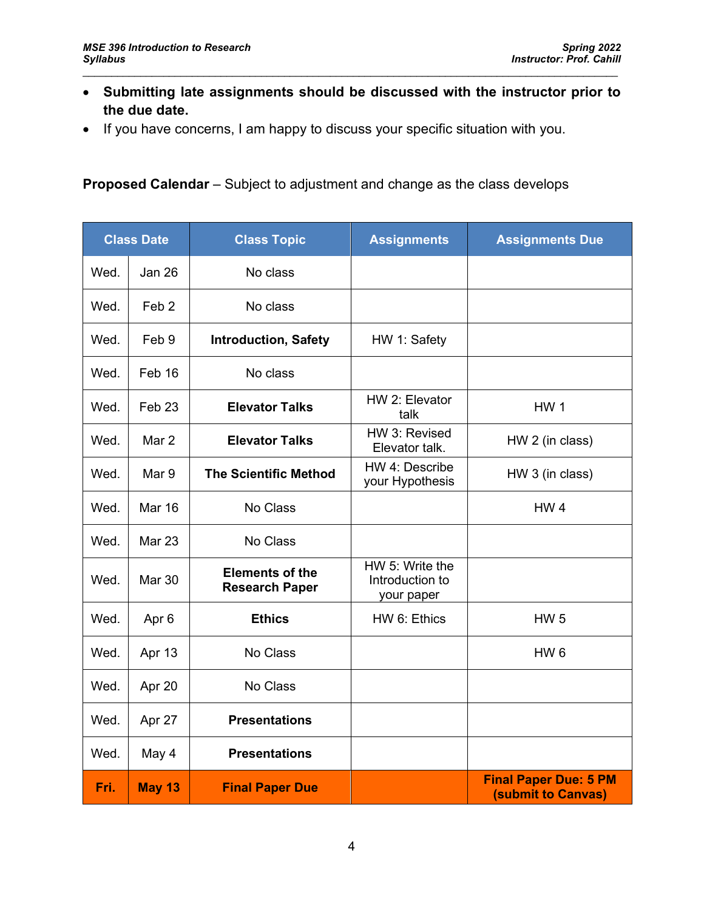• **Submitting late assignments should be discussed with the instructor prior to the due date.**

 $\mathcal{L}_\mathcal{L} = \{ \mathcal{L}_\mathcal{L} = \{ \mathcal{L}_\mathcal{L} = \{ \mathcal{L}_\mathcal{L} = \{ \mathcal{L}_\mathcal{L} = \{ \mathcal{L}_\mathcal{L} = \{ \mathcal{L}_\mathcal{L} = \{ \mathcal{L}_\mathcal{L} = \{ \mathcal{L}_\mathcal{L} = \{ \mathcal{L}_\mathcal{L} = \{ \mathcal{L}_\mathcal{L} = \{ \mathcal{L}_\mathcal{L} = \{ \mathcal{L}_\mathcal{L} = \{ \mathcal{L}_\mathcal{L} = \{ \mathcal{L}_\mathcal{$ 

• If you have concerns, I am happy to discuss your specific situation with you.

### **Proposed Calendar** – Subject to adjustment and change as the class develops

| <b>Class Date</b> |                   | <b>Class Topic</b>                              | <b>Assignments</b>                               | <b>Assignments Due</b>                                    |
|-------------------|-------------------|-------------------------------------------------|--------------------------------------------------|-----------------------------------------------------------|
| Wed.              | <b>Jan 26</b>     | No class                                        |                                                  |                                                           |
| Wed.              | Feb <sub>2</sub>  | No class                                        |                                                  |                                                           |
| Wed.              | Feb 9             | <b>Introduction, Safety</b>                     | HW 1: Safety                                     |                                                           |
| Wed.              | Feb 16            | No class                                        |                                                  |                                                           |
| Wed.              | Feb <sub>23</sub> | <b>Elevator Talks</b>                           | HW 2: Elevator<br>talk                           | <b>HW1</b>                                                |
| Wed.              | Mar 2             | <b>Elevator Talks</b>                           | HW 3: Revised<br>Elevator talk.                  | HW 2 (in class)                                           |
| Wed.              | Mar 9             | <b>The Scientific Method</b>                    | HW 4: Describe<br>your Hypothesis                | HW 3 (in class)                                           |
| Wed.              | <b>Mar 16</b>     | No Class                                        |                                                  | HW <sub>4</sub>                                           |
| Wed.              | <b>Mar 23</b>     | No Class                                        |                                                  |                                                           |
| Wed.              | <b>Mar 30</b>     | <b>Elements of the</b><br><b>Research Paper</b> | HW 5: Write the<br>Introduction to<br>your paper |                                                           |
| Wed.              | Apr 6             | <b>Ethics</b>                                   | HW 6: Ethics                                     | <b>HW 5</b>                                               |
| Wed.              | Apr 13            | No Class                                        |                                                  | HW <sub>6</sub>                                           |
| Wed.              | Apr 20            | No Class                                        |                                                  |                                                           |
| Wed.              | Apr 27            | <b>Presentations</b>                            |                                                  |                                                           |
| Wed.              | May 4             | <b>Presentations</b>                            |                                                  |                                                           |
| Fri.              | <b>May 13</b>     | <b>Final Paper Due</b>                          |                                                  | <b>Final Paper Due: 5 PM</b><br><b>(submit to Canvas)</b> |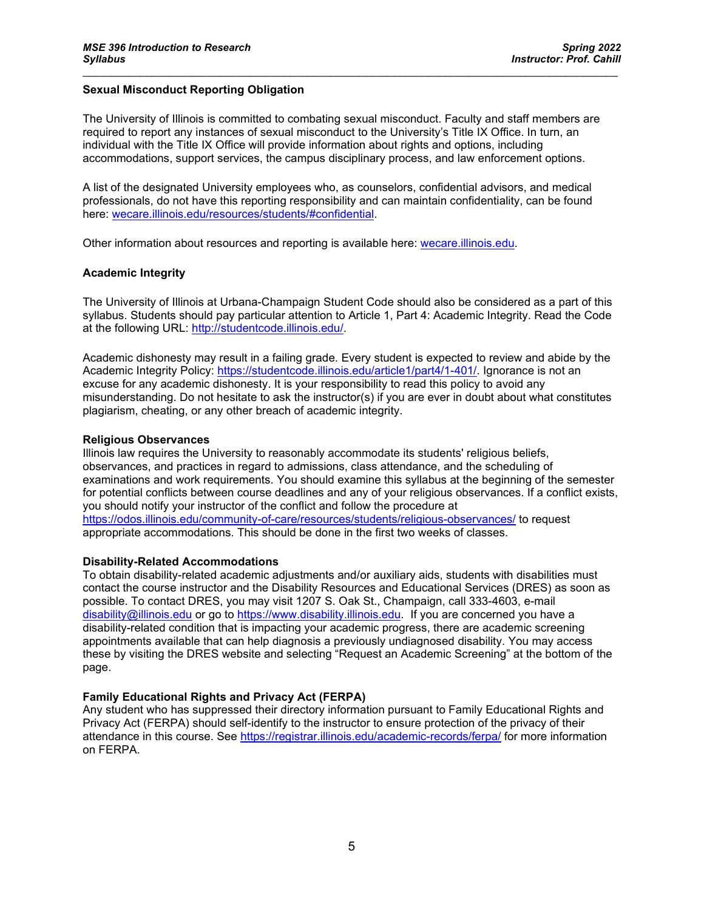### **Sexual Misconduct Reporting Obligation**

The University of Illinois is committed to combating sexual misconduct. Faculty and staff members are required to report any instances of sexual misconduct to the University's Title IX Office. In turn, an individual with the Title IX Office will provide information about rights and options, including accommodations, support services, the campus disciplinary process, and law enforcement options.

 $\mathcal{L}_\mathcal{L} = \{ \mathcal{L}_\mathcal{L} = \{ \mathcal{L}_\mathcal{L} = \{ \mathcal{L}_\mathcal{L} = \{ \mathcal{L}_\mathcal{L} = \{ \mathcal{L}_\mathcal{L} = \{ \mathcal{L}_\mathcal{L} = \{ \mathcal{L}_\mathcal{L} = \{ \mathcal{L}_\mathcal{L} = \{ \mathcal{L}_\mathcal{L} = \{ \mathcal{L}_\mathcal{L} = \{ \mathcal{L}_\mathcal{L} = \{ \mathcal{L}_\mathcal{L} = \{ \mathcal{L}_\mathcal{L} = \{ \mathcal{L}_\mathcal{$ 

A list of the designated University employees who, as counselors, confidential advisors, and medical professionals, do not have this reporting responsibility and can maintain confidentiality, can be found here: [wecare.illinois.edu/resources/students/#confidential.](http://wecare.illinois.edu/resources/students/#confidential)

Other information about resources and reporting is available here: [wecare.illinois.edu.](http://wecare.illinois.edu/)

#### **Academic Integrity**

The University of Illinois at Urbana-Champaign Student Code should also be considered as a part of this syllabus. Students should pay particular attention to Article 1, Part 4: Academic Integrity. Read the Code at the following URL: [http://studentcode.illinois.edu/.](http://studentcode.illinois.edu/)

Academic dishonesty may result in a failing grade. Every student is expected to review and abide by the Academic Integrity Policy: [https://studentcode.illinois.edu/article1/part4/1-401/.](https://studentcode.illinois.edu/article1/part4/1-401/) Ignorance is not an excuse for any academic dishonesty. It is your responsibility to read this policy to avoid any misunderstanding. Do not hesitate to ask the instructor(s) if you are ever in doubt about what constitutes plagiarism, cheating, or any other breach of academic integrity.

#### **Religious Observances**

Illinois law requires the University to reasonably accommodate its students' religious beliefs, observances, and practices in regard to admissions, class attendance, and the scheduling of examinations and work requirements. You should examine this syllabus at the beginning of the semester for potential conflicts between course deadlines and any of your religious observances. If a conflict exists, you should notify your instructor of the conflict and follow the procedure at <https://odos.illinois.edu/community-of-care/resources/students/religious-observances/> to request appropriate accommodations. This should be done in the first two weeks of classes.

### **Disability-Related Accommodations**

To obtain disability-related academic adjustments and/or auxiliary aids, students with disabilities must contact the course instructor and the Disability Resources and Educational Services (DRES) as soon as possible. To contact DRES, you may visit 1207 S. Oak St., Champaign, call 333-4603, e-mail [disability@illinois.edu](mailto:disability@illinois.edu) or go to [https://www.disability.illinois.edu.](https://www.disability.illinois.edu/) If you are concerned you have a disability-related condition that is impacting your academic progress, there are academic screening appointments available that can help diagnosis a previously undiagnosed disability. You may access these by visiting the DRES website and selecting "Request an Academic Screening" at the bottom of the page.

### **Family Educational Rights and Privacy Act (FERPA)**

Any student who has suppressed their directory information pursuant to Family Educational Rights and Privacy Act (FERPA) should self-identify to the instructor to ensure protection of the privacy of their attendance in this course. See<https://registrar.illinois.edu/academic-records/ferpa/> for more information on FERPA.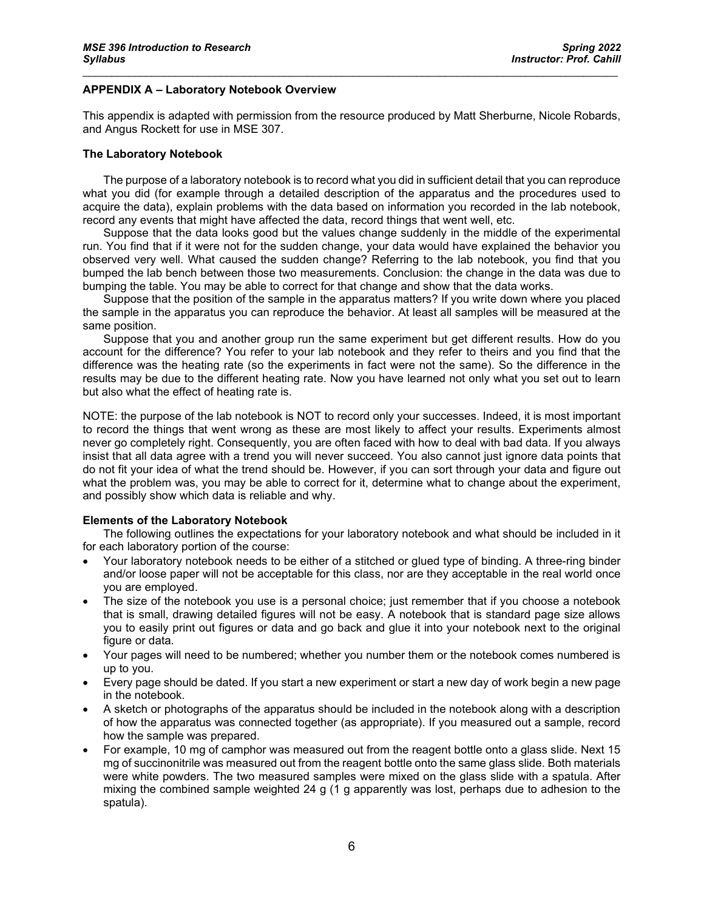### **APPENDIX A – Laboratory Notebook Overview**

This appendix is adapted with permission from the resource produced by Matt Sherburne, Nicole Robards, and Angus Rockett for use in MSE 307.

 $\mathcal{L}_\mathcal{L} = \{ \mathcal{L}_\mathcal{L} = \{ \mathcal{L}_\mathcal{L} = \{ \mathcal{L}_\mathcal{L} = \{ \mathcal{L}_\mathcal{L} = \{ \mathcal{L}_\mathcal{L} = \{ \mathcal{L}_\mathcal{L} = \{ \mathcal{L}_\mathcal{L} = \{ \mathcal{L}_\mathcal{L} = \{ \mathcal{L}_\mathcal{L} = \{ \mathcal{L}_\mathcal{L} = \{ \mathcal{L}_\mathcal{L} = \{ \mathcal{L}_\mathcal{L} = \{ \mathcal{L}_\mathcal{L} = \{ \mathcal{L}_\mathcal{$ 

#### **The Laboratory Notebook**

The purpose of a laboratory notebook is to record what you did in sufficient detail that you can reproduce what you did (for example through a detailed description of the apparatus and the procedures used to acquire the data), explain problems with the data based on information you recorded in the lab notebook, record any events that might have affected the data, record things that went well, etc.

Suppose that the data looks good but the values change suddenly in the middle of the experimental run. You find that if it were not for the sudden change, your data would have explained the behavior you observed very well. What caused the sudden change? Referring to the lab notebook, you find that you bumped the lab bench between those two measurements. Conclusion: the change in the data was due to bumping the table. You may be able to correct for that change and show that the data works.

Suppose that the position of the sample in the apparatus matters? If you write down where you placed the sample in the apparatus you can reproduce the behavior. At least all samples will be measured at the same position.

Suppose that you and another group run the same experiment but get different results. How do you account for the difference? You refer to your lab notebook and they refer to theirs and you find that the difference was the heating rate (so the experiments in fact were not the same). So the difference in the results may be due to the different heating rate. Now you have learned not only what you set out to learn but also what the effect of heating rate is.

NOTE: the purpose of the lab notebook is NOT to record only your successes. Indeed, it is most important to record the things that went wrong as these are most likely to affect your results. Experiments almost never go completely right. Consequently, you are often faced with how to deal with bad data. If you always insist that all data agree with a trend you will never succeed. You also cannot just ignore data points that do not fit your idea of what the trend should be. However, if you can sort through your data and figure out what the problem was, you may be able to correct for it, determine what to change about the experiment, and possibly show which data is reliable and why.

#### **Elements of the Laboratory Notebook**

The following outlines the expectations for your laboratory notebook and what should be included in it for each laboratory portion of the course:

- Your laboratory notebook needs to be either of a stitched or glued type of binding. A three-ring binder and/or loose paper will not be acceptable for this class, nor are they acceptable in the real world once you are employed.
- The size of the notebook you use is a personal choice; just remember that if you choose a notebook that is small, drawing detailed figures will not be easy. A notebook that is standard page size allows you to easily print out figures or data and go back and glue it into your notebook next to the original figure or data.
- Your pages will need to be numbered; whether you number them or the notebook comes numbered is up to you.
- Every page should be dated. If you start a new experiment or start a new day of work begin a new page in the notebook.
- A sketch or photographs of the apparatus should be included in the notebook along with a description of how the apparatus was connected together (as appropriate). If you measured out a sample, record how the sample was prepared.
- For example, 10 mg of camphor was measured out from the reagent bottle onto a glass slide. Next 15 mg of succinonitrile was measured out from the reagent bottle onto the same glass slide. Both materials were white powders. The two measured samples were mixed on the glass slide with a spatula. After mixing the combined sample weighted 24 g (1 g apparently was lost, perhaps due to adhesion to the spatula).